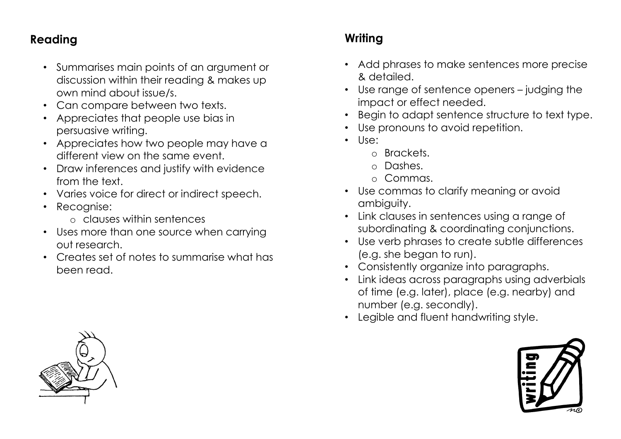## **Reading**

- Summarises main points of an argument or discussion within their reading & makes up own mind about issue/s.
- Can compare between two texts.
- Appreciates that people use bias in persuasive writing.
- Appreciates how two people may have a different view on the same event.
- Draw inferences and justify with evidence from the text.
- Varies voice for direct or indirect speech.
- Recognise:
	- o clauses within sentences
- Uses more than one source when carrying out research.
- Creates set of notes to summarise what has been read.

## **Writing**

- Add phrases to make sentences more precise & detailed.
- Use range of sentence openers judging the impact or effect needed.
- Begin to adapt sentence structure to text type.
- Use pronouns to avoid repetition.
- Use:
	- o Brackets.
	- o Dashes.
	- o Commas.
- Use commas to clarify meaning or avoid ambiguity.
- Link clauses in sentences using a range of subordinating & coordinating conjunctions.
- Use verb phrases to create subtle differences (e.g. she began to run).
- Consistently organize into paragraphs.
- Link ideas across paragraphs using adverbials of time (e.g. later), place (e.g. nearby) and number (e.g. secondly).
- Legible and fluent handwriting style.